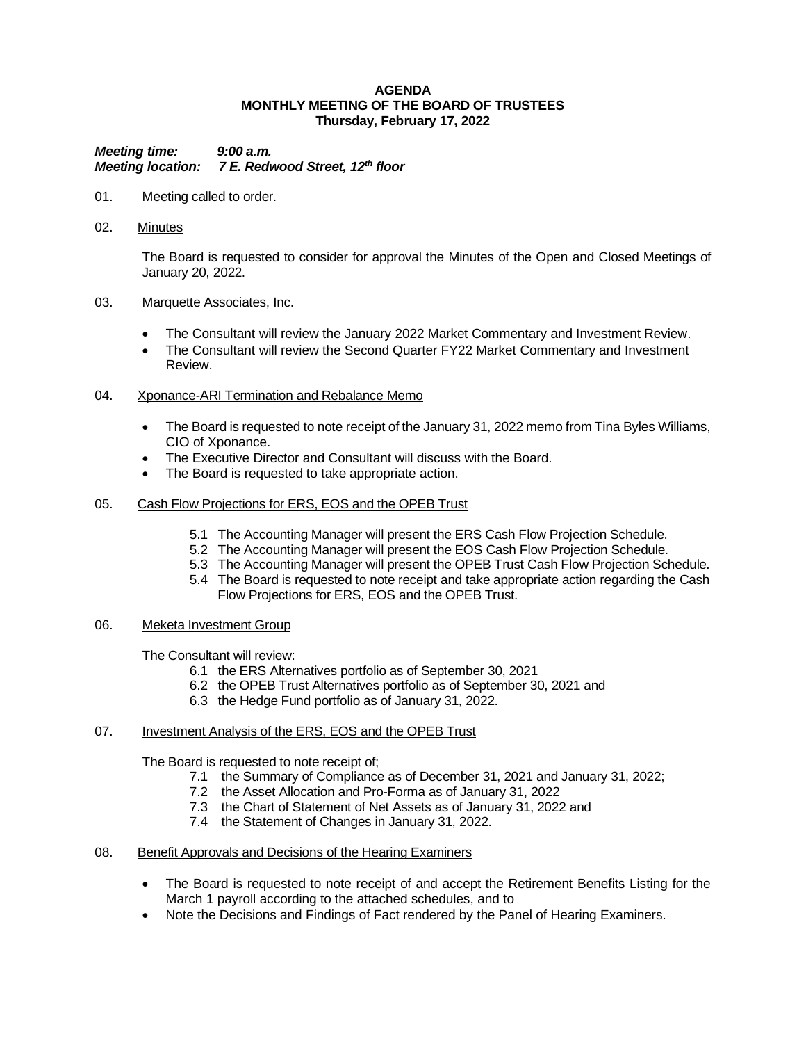#### **AGENDA MONTHLY MEETING OF THE BOARD OF TRUSTEES Thursday, February 17, 2022**

*Meeting time: 9:00 a.m. Meeting location: 7 E. Redwood Street, 12th floor*

- 01. Meeting called to order.
- 02. Minutes

The Board is requested to consider for approval the Minutes of the Open and Closed Meetings of January 20, 2022.

#### 03. Marquette Associates, Inc.

- The Consultant will review the January 2022 Market Commentary and Investment Review.
- The Consultant will review the Second Quarter FY22 Market Commentary and Investment Review.
- 04. Xponance-ARI Termination and Rebalance Memo
	- The Board is requested to note receipt of the January 31, 2022 memo from Tina Byles Williams, CIO of Xponance.
	- The Executive Director and Consultant will discuss with the Board.
	- The Board is requested to take appropriate action.
- 05. Cash Flow Projections for ERS, EOS and the OPEB Trust
	- 5.1 The Accounting Manager will present the ERS Cash Flow Projection Schedule.
	- 5.2 The Accounting Manager will present the EOS Cash Flow Projection Schedule.
	- 5.3 The Accounting Manager will present the OPEB Trust Cash Flow Projection Schedule.
	- 5.4 The Board is requested to note receipt and take appropriate action regarding the Cash Flow Projections for ERS, EOS and the OPEB Trust.

#### 06. Meketa Investment Group

The Consultant will review:

- 6.1 the ERS Alternatives portfolio as of September 30, 2021
- 6.2 the OPEB Trust Alternatives portfolio as of September 30, 2021 and
- 6.3 the Hedge Fund portfolio as of January 31, 2022.

# 07. Investment Analysis of the ERS, EOS and the OPEB Trust

The Board is requested to note receipt of;

- 7.1 the Summary of Compliance as of December 31, 2021 and January 31, 2022;
	- 7.2 the Asset Allocation and Pro-Forma as of January 31, 2022
	- 7.3 the Chart of Statement of Net Assets as of January 31, 2022 and
	- 7.4 the Statement of Changes in January 31, 2022.
- 08. Benefit Approvals and Decisions of the Hearing Examiners
	- The Board is requested to note receipt of and accept the Retirement Benefits Listing for the March 1 payroll according to the attached schedules, and to
	- Note the Decisions and Findings of Fact rendered by the Panel of Hearing Examiners.